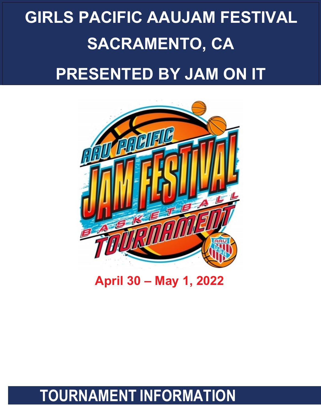# **GIRLS PACIFIC AAUJAM FESTIVAL SACRAMENTO, CA PRESENTED BY JAM ON IT**



**April 30 – May 1, 2022**

### **TOURNAMENT INFORMATION**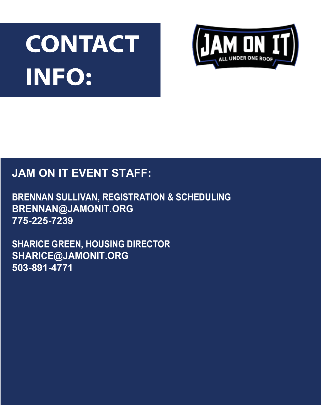# CONTACT **INFO:**



### **JAM ON IT EVENT STAFF:**

**BRENNAN SULLIVAN, REGISTRATION & SCHEDULING BRENNAN@JAMONIT.ORG 775-225-7239**

**SHARICE GREEN, HOUSING DIRECTOR SHARICE@JAMONIT.ORG 503-891-4771**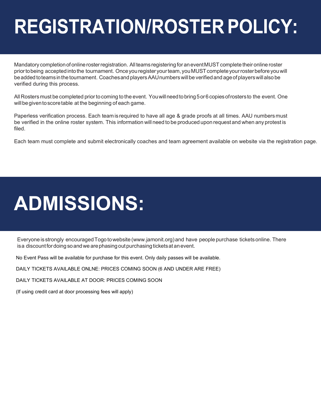# **REGISTRATION/ROSTER POLICY:**

Mandatory completion of online roster registration. All teams registering for an event MUST complete their online roster prior to being accepted into the tournament. Once you register your team, you MUST complete your roster before you will be added to teams in the tournament. Coaches and players AAU numbers will be verified and age of players will also be verified during this process.

All Rosters must be completed prior to coming to the event. You will need to bring 5 or 6 copies of rosters to the event. One will be given to score table at the beginning of each game.

Paperless verification process. Each team is required to have all age & grade proofs at all times. AAU numbers must be verified in the online roster system. This information will need to be produced upon request and when any protest is filed.

Each team must complete and submit electronically coaches and team agreement available on website via the registration page.

### **ADMISSIONS:**

Everyone is strongly encouraged Togo to website (www.jamonit.org) and have people purchase tickets online. There isa discount for doing so and we are phasing out purchasing tickets at an event.

No Event Pass will be available for purchase for this event. Only daily passes will be available.

DAILY TICKETS AVAILABLE ONLNE: PRICES COMING SOON (6 AND UNDER ARE FREE)

DAILY TICKETS AVAILABLE AT DOOR: PRICES COMING SOON

(If using credit card at door processing fees will apply)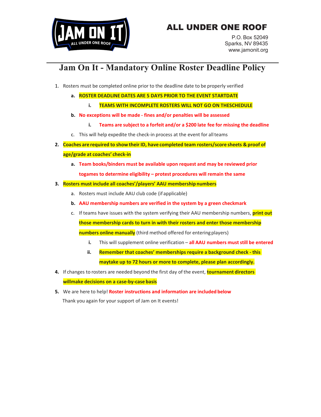### ALL UNDER ONE ROOF



P.O. Box 52049 Sparks, NV 89435 www.jamonit.org

### **Jam On It - Mandatory Online Roster Deadline Policy**

- 1. Rosters must be completed online prior to the deadline date to be properly verified
	- **a. ROSTER DEADLINE DATES ARE 5 DAYS PRIOR TO THE EVENT STARTDATE**
		- **i. TEAMS WITH INCOMPLETE ROSTERS WILL NOT GO ON THESCHEDULE**
	- **b. No exceptions will be made - fines and/or penalties will be assessed**
		- **i. Teams are subject to a forfeit and/or a \$200 late fee for missing the deadline**
	- c. This will help expedite the check-in process at the event for allteams
- **2. Coaches are required to show their ID, have completed team rosters/score sheets & proof of age/grade at coaches' check-in**
	- **a. Team books/binders must be available upon request and may be reviewed prior togames to determine eligibility – protest procedures will remain the same**

### **3. Rosters must include all coaches'/players' AAU membership numbers**

- a. Rosters must include AAU club code (if applicable)
- **b. AAU membership numbers are verified in the system by a green checkmark**
- c. If teams have issues with the system verifying their AAU membership numbers, **print out those membership cards to turn in with their rosters and enter those membership numbers online manually** (third method offered for enteringplayers)
	- **i.** This will supplement online verification **all AAU numbers muststill be entered**
	- **ii. Remember that coaches' memberships require a background check - this maytake up to 72 hours or more to complete, please plan accordingly.**
- **4.** If changes to rosters are needed beyond the first day of the event, **tournament directors willmake decisions on a case-by-case basis**
- **5.** We are here to help! **Roster instructions and information are included below** Thank you again for your support of Jam on It events!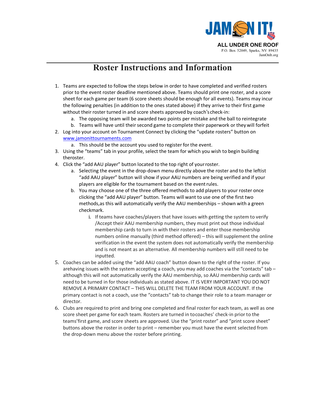

### **Roster Instructions and Information**

- 1. Teams are expected to follow the steps below in order to have completed and verified rosters prior to the event roster deadline mentioned above. Teams should print one roster, and a score sheet for each game per team (6 score sheets should be enough for all events). Teams may incur the following penalties (in addition to the ones stated above) if they arrive to their first game without their roster turned in and score sheets approved by coach's check-in:
	- a. The opposing team will be awarded two points per mistake and the ball to reintegrate
	- b. Teams will have until their second game to complete their paperwork or they will forfeit
- 2. Log into your account on Tournament Connect by clicking the "update rosters" button on www.jamonittournaments.com
	- a. This should be the account you used to register for the event.
- 3. Using the "teams" tab in your profile, select the team for which you wish to begin building theroster.
- 4. Click the "add AAU player" button located to the top right of yourroster.
	- a. Selecting the event in the drop-down menu directly above the roster and to the leftist "add AAU player" button will show if your AAU numbers are being verified and if your players are eligible for the tournament based on the event rules.
	- b. You may choose one of the three offered methods to add players to your roster once clicking the "add AAU player" button. Teams will want to use one of the first two methods,as this will automatically verify the AAU memberships – shown with a green checkmark.
		- i. If teams have coaches/players that have issues with getting the system to verify /Accept their AAU membership numbers, they must print out those individual membership cards to turn in with their rosters and enter those membership numbers online manually (third method offered) – this will supplement the online verification in the event the system does not automatically verify the membership and is not meant as an alternative. All membership numbers will still need to be inputted.
- 5. Coaches can be added using the "add AAU coach" button down to the right of the roster. If you arehaving issues with the system accepting a coach, you may add coaches via the "contacts" tab – although this will not automatically verify the AAU membership, so AAU membership cards will need to be turned in for those individuals as stated above. IT IS VERY IMPORTANT YOU DO NOT REMOVE A PRIMARY CONTACT – THIS WILL DELETE THE TEAM FROM YOUR ACCOUNT. If the primary contact is not a coach, use the "contacts" tab to change their role to a team manager or director.
- 6. Clubs are required to print and bring one completed and final roster for each team, as well as one score sheet per game for each team. Rosters are turned in tocoaches' check-in prior to the teams'first game, and score sheets are approved. Use the "print roster" and "print score sheet" buttons above the roster in order to print – remember you must have the event selected from the drop-down menu above the roster before printing.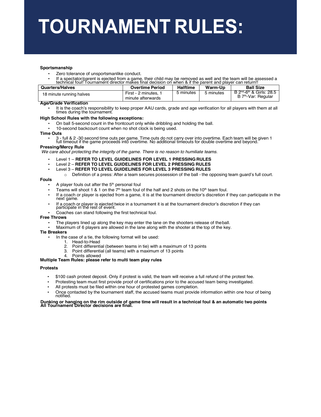# **TOURNAMENT RULES:**

#### **Sportsmanship**

- Zero tolerance of unsportsmanlike conduct.
- If a spectator/parent is ejected from a game, their child may be removed as well and the team will be assessed a technical foul! Tournament director makes final decision on when & if the parent and player can return!!

| <b>Quarters/Halves</b>   | <b>Overtime Period</b>                  | <b>Halftime</b> | Warm-Up   | <b>Ball Size</b>                                                                      |
|--------------------------|-----------------------------------------|-----------------|-----------|---------------------------------------------------------------------------------------|
| 18 minute running halves | First - 2 minutes,<br>minute afterwards | 5 minutes       | 5 minutes | $B$ 2 <sup>nd</sup> -6 <sup>th</sup> & Girls: 28.5<br>B 7 <sup>th</sup> -Var: Regular |

### **Age/Grade Verification**

It is the coach's responsibility to keep proper AAU cards, grade and age verification for all players with them at all times during the tournament.

#### **High School Rules with the following exceptions:**

- On ball 5-second count in the frontcourt only while dribbling and holding the ball.
- 10-second backcourt count when no shot clock is being used.

#### **Time Outs**

• 3 - full & 2 -30 second time outs per game. Time outs do not carry over into overtime. Each team will be given 1 full timeout if the game proceeds into overtime. No additional timeouts for double overtime and beyond.

#### **Pressing/Mercy Rule**

*We care about protecting the integrity of the game. There is no reason to humiliate teams.*

- Level 1 **REFER TO LEVEL GUIDELINES FOR LEVEL 1 PRESSINGRULES**
- Level 2 **REFER TO LEVEL GUIDELINES FOR LEVEL 2 PRESSING RULES**
- Level 3 **REFER TO LEVEL GUIDELINES FOR LEVEL 3 PRESSING RULES**
	- $\circ$  Definition of a press: After a team secures possession of the ball the opposing team guard's full court.

#### **Fouls**

- A player fouls out after the  $5<sup>th</sup>$  personal foul
- Teams will shoot 1 & 1 on the  $7<sup>th</sup>$  team foul of the half and 2 shots on the 10<sup>th</sup> team foul.
- If a coach or player is ejected from a game, it is at the tournament director's discretion if they can participate in the next game.
- If a coach or player is ejected twice in a tournament it is at the tournament director's discretion if they can participate in the rest of event.
- Coaches can stand following the first technical foul.

#### **Free Throws**

- The players lined up along the key may enter the lane on the shooters release of theball.
- Maximum of 6 players are allowed in the lane along with the shooter at the top of the key.

#### **Tie Breakers**

- In the case of a tie, the following format will be used:
	- 1. Head-to-Head
	- 2. Point differential (between teams in tie) with a maximum of 13 points
	- 3. Point differential (all teams) with a maximum of 13 points
	- 4. Points allowed

#### **Multiple Team Rules: please refer to multi team play rules**

### **Protests**

- \$100 cash protest deposit. Only if protest is valid, the team will receive a full refund of the protest fee.
- Protesting team must first provide proof of certifications prior to the accused team being investigated.
- All protests must be filed within one hour of protested games completion.
- Once contacted by the tournament staff, the accused teams must provide information within one hour of being notified.

### Dunking or hanging on the rim outside of game time will result in a technical foul & an automatic two points<br>All Tournament Director decisions are final.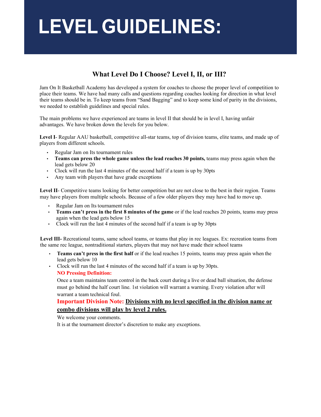# **LEVEL GUIDELINES:**

### **What Level Do I Choose? Level I, II, or III?**

Jam On It Basketball Academy has developed a system for coaches to choose the proper level of competition to place their teams. We have had many calls and questions regarding coaches looking for direction in what level their teams should be in. To keep teams from "Sand Bagging" and to keep some kind of parity in the divisions, we needed to establish guidelines and special rules.

The main problems we have experienced are teams in level II that should be in level I, having unfair advantages. We have broken down the levels for you below.

Level I- Regular AAU basketball, competitive all-star teams, top of division teams, elite teams, and made up of players from different schools.

- Regular Jam on Its tournament rules
- **Teams can press the whole game unless the lead reaches 30 points,** teams may press again when the lead gets below 20
- Clock will run the last 4 minutes of the second half if a team is up by 30pts
- Any team with players that have grade exceptions

**Level II**- Competitive teams looking for better competition but are not close to the best in their region. Teams may have players from multiple schools. Because of a few older players they may have had to move up.

- Regular Jam on Its tournament rules
- **Teams can't press in the first 8 minutes of the game** or if the lead reaches 20 points, teams may press again when the lead gets below 15
- Clock will run the last 4 minutes of the second half if a team is up by 30pts

Level III- Recreational teams, same school teams, or teams that play in rec leagues. Ex: recreation teams from the same rec league, nontraditional starters, players that may not have made their school teams

- **Teams can't press in the first half** or if the lead reaches 15 points, teams may press again when the lead gets below 10
- Clock will run the last 4 minutes of the second half if a team is up by 30pts. **NO Pressing Definition:**

Once a team maintains team control in the back court during a live or dead ball situation, the defense must go behind the half court line. 1st violation will warrant a warning. Every violation after will warrant a team technical foul.

### **Important Division Note: Divisions with no level specified in the division name or combo divisions will play by level 2 rules.**

We welcome your comments.

It is at the tournament director's discretion to make any exceptions.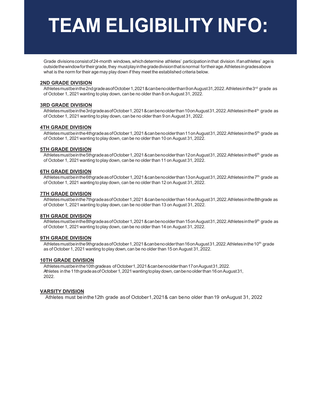# **TEAM ELIGIBILITY INFO:**

Grade divisions consist of 24-month windows, which determine athletes' participation in that division. If an athletes' age is outsidethewindowfortheirgrade,they mustplayinthegradedivisionthatisnormal fortheirage.Athletesingradesabove what is the norm for their age may play down if they meet the established criteria below.

### **2ND GRADE DIVISION**

Athletesmustbeinthe2ndgradeasofOctober1,2021&canbenoolderthan9onAugust31,2022.Athletesinthe3<sup>rd</sup> grade as of October 1, 2021wanting to play down, canbe no older than 8 onAugust 31, 2022.

### **3RD GRADE DIVISION**

Athletesmustbeinthe3rdgradeasofOctober1,2021&canbenoolderthan10onAugust31,2022.Athletesinthe4<sup>th</sup> grade as of October 1, 2021 wanting to play down, can be no older than 9 on August 31, 2022.

### **4TH GRADE DIVISION**

Athletesmustbeinthe4thgradeasofOctober1,2021&canbenoolderthan11onAugust31,2022.Athletesinthe5<sup>th</sup> grade as of October 1, 2021wanting toplay down, canbe no older than 10 on August 31, 2022.

### **5TH GRADE DIVISION**

Athletesmust bein the 5thgrade as of October 1, 2021 & can be noolder than 12 on August 31, 2022. Athletes in the 6<sup>th</sup> grade as of October 1, 2021wanting toplay down, canbe no older than 11 on August 31, 2022.

### **6TH GRADE DIVISION**

Athletesmust bein the 6thgrade as of October 1, 2021 & can be noolder than 13 on August 31, 2022. Athletes in the 7<sup>th</sup> grade as of October 1, 2021 wantingto play down, can be no older than 12 on August 31, 2022.

### **7TH GRADE DIVISION**

Athletesmustbeinthe7thgradeasofOctober1,2021 &canbenoolderthan14onAugust31,2022.Athletesinthe8thgradeas of October 1, 2021 wanting toplay down, can be no older than 13 on August 31, 2022.

### **8TH GRADE DIVISION**

Athletesmustbeinthe8thgradeasofOctober1,2021&canbenoolderthan15onAugust31,2022.Athletesinthe9th grade as of October 1, 2021wanting toplay down, canbe no older than 14 on August 31, 2022.

### **9TH GRADE DIVISION**

Athletes must be in the 9thgrade as of October 1, 2021 & can be no older than 16 on August 31, 2022. Athletes in the 10<sup>th</sup> grade as of October 1, 2021 wanting to play down, can be no older than 15 on August 31, 2022.

### **10TH GRADE DIVISION**

Athletesmustbeinthe10thgradeas ofOctober1,2021&canbenoolderthan17onAugust31,2022. Athletes in the 11th grade as of October 1, 2021 wanting to play down, can be no older than 16 on August 31, 2022.

### **VARSITY DIVISION**

Athletes must beinthe12th grade asof October1,2021& can beno older than19 onAugust 31, 2022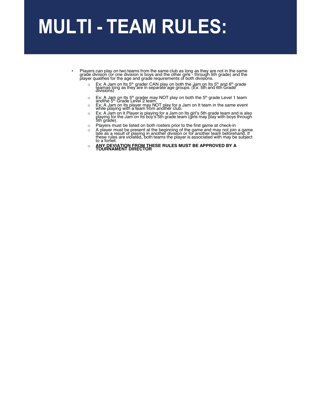### **MULTI - TEAM RULES:**

- Players can play on two teams from the same club as long as they are not in the same grade division (or one division is boys and the other girls - through 5th grade) and the<br>player qualifies for the age and grade requirements of both divisions.
	- <sup>o</sup> Ex: <sup>A</sup> Jam on Its 5th grader CAN play on both the Jam on Its 5th and 6th grade teamas long as they are in separate age groups. (Ex: 5th and 6th Grade divisions)
	- Ex: A Jam on Its 5<sup>th</sup> grader may NOT play on both the 5<sup>th</sup> grade Level 1 team<br>andthe 5<sup>th</sup> Grade Level 2 team.<br>Ex: A Jam on Its player may NOT play for a Jam on It team in the same event<br>while playing with a team from a
	-
	- o Ex: A Jam on It Player is playing for a Jam on Its girl's 5th grade team and is also playing for the Jam on Its boy's 5th grade team (girls may play with boys through 5th grade).
	- o Players must be listed on both rosters prior to the first game at check-in
	- <sup>o</sup> A player must be present at the beginning of the game and may not join a game late as a result of playing in another division or for another team beforehand. If these rules are violatéd, both teams the player is associated with may be subject<br>to a forfeit.
	- o **ANY DEVIATION FROM THESE RULES MUST BE APPROVED BY A TOURNAMENT DIRECTOR**